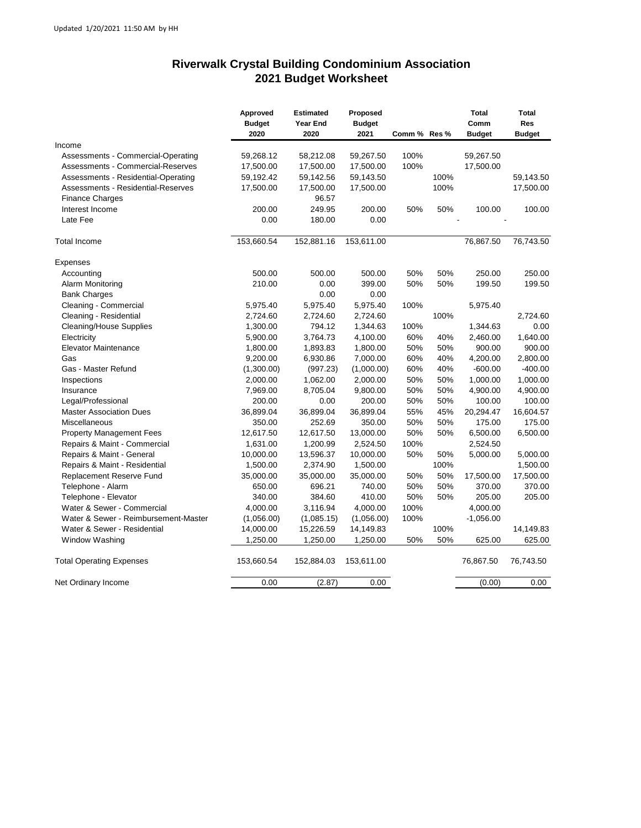## **Riverwalk Crystal Building Condominium Association 2021 Budget Worksheet**

| Income<br>59,267.50<br>100%<br>59,267.50<br>Assessments - Commercial-Operating<br>59,268.12<br>58,212.08<br>100%<br>17,500.00<br>Assessments - Commercial-Reserves<br>17,500.00<br>17,500.00<br>17,500.00<br>100%<br>Assessments - Residential-Operating<br>59,192.42<br>59,142.56<br>59,143.50<br>100%<br>Assessments - Residential-Reserves<br>17,500.00<br>17,500.00<br>17,500.00<br>96.57<br><b>Finance Charges</b><br>Interest Income<br>200.00<br>249.95<br>200.00<br>50%<br>50%<br>100.00<br>Late Fee<br>0.00<br>180.00<br>0.00<br>153,660.54<br>152,881.16<br>153,611.00<br>76,867.50<br>Total Income<br>Expenses<br>500.00<br>500.00<br>500.00<br>50%<br>50%<br>Accounting<br>250.00<br>210.00<br>399.00<br>50%<br>50%<br>199.50<br>Alarm Monitoring<br>0.00<br>0.00<br><b>Bank Charges</b><br>0.00<br>Cleaning - Commercial<br>5,975.40<br>5,975.40<br>100%<br>5,975.40<br>5,975.40<br>Cleaning - Residential<br>2,724.60<br>2,724.60<br>2,724.60<br>100%<br>Cleaning/House Supplies<br>1,300.00<br>794.12<br>1,344.63<br>100%<br>1,344.63<br>Electricity<br>3,764.73<br>4,100.00<br>60%<br>40%<br>2,460.00<br>5,900.00<br><b>Elevator Maintenance</b><br>1,800.00<br>50%<br>50%<br>900.00<br>1,800.00<br>1,893.83<br>60%<br>Gas<br>9,200.00<br>6,930.86<br>7,000.00<br>40%<br>4,200.00<br>(1,000.00)<br>60%<br>40%<br>$-600.00$<br>Gas - Master Refund<br>(1,300.00)<br>(997.23)<br>1,062.00<br>2,000.00<br>50%<br>50%<br>1,000.00<br>Inspections<br>2,000.00<br>8,705.04<br>9,800.00<br>50%<br>50%<br>4,900.00<br>Insurance<br>7,969.00<br>Legal/Professional<br>200.00<br>0.00<br>200.00<br>50%<br>50%<br>100.00<br>36,899.04<br>36,899.04<br>36,899.04<br>55%<br>45%<br>20,294.47<br><b>Master Association Dues</b><br>350.00<br>50%<br>175.00<br>Miscellaneous<br>350.00<br>252.69<br>50%<br>50%<br><b>Property Management Fees</b><br>12,617.50<br>12,617.50<br>13,000.00<br>50%<br>6,500.00<br>Repairs & Maint - Commercial<br>1,631.00<br>1,200.99<br>2,524.50<br>100%<br>2,524.50<br>50%<br>5,000.00<br>Repairs & Maint - General<br>10,000.00<br>13,596.37<br>10,000.00<br>50%<br>Repairs & Maint - Residential<br>1,500.00<br>2,374.90<br>1,500.00<br>100%<br>35,000.00<br>35,000.00<br>35,000.00<br>50%<br>50%<br>17,500.00<br>Replacement Reserve Fund<br>Telephone - Alarm<br>650.00<br>696.21<br>740.00<br>50%<br>50%<br>370.00<br>340.00<br>410.00<br>50%<br>50%<br>205.00<br>Telephone - Elevator<br>384.60<br>Water & Sewer - Commercial<br>4,000.00<br>3,116.94<br>4,000.00<br>100%<br>4,000.00<br>Water & Sewer - Reimbursement-Master<br>100%<br>$-1,056.00$<br>(1,056.00)<br>(1,085.15)<br>(1,056.00)<br>Water & Sewer - Residential<br>14,000.00<br>100%<br>15,226.59<br>14,149.83<br><b>Window Washing</b><br>1,250.00<br>1,250.00<br>1,250.00<br>50%<br>50%<br>625.00<br><b>Total Operating Expenses</b><br>153,660.54<br>152,884.03<br>153,611.00<br>76,867.50<br>76,743.50<br>0.00<br>(2.87)<br>0.00<br>(0.00)<br>0.00<br>Net Ordinary Income | Approved<br><b>Budget</b><br>2020 | <b>Estimated</b><br><b>Year End</b><br>2020 | Proposed<br><b>Budget</b><br>2021 | Comm % Res % | <b>Total</b><br>Comm<br><b>Budget</b> | Total<br><b>Res</b><br><b>Budget</b> |
|------------------------------------------------------------------------------------------------------------------------------------------------------------------------------------------------------------------------------------------------------------------------------------------------------------------------------------------------------------------------------------------------------------------------------------------------------------------------------------------------------------------------------------------------------------------------------------------------------------------------------------------------------------------------------------------------------------------------------------------------------------------------------------------------------------------------------------------------------------------------------------------------------------------------------------------------------------------------------------------------------------------------------------------------------------------------------------------------------------------------------------------------------------------------------------------------------------------------------------------------------------------------------------------------------------------------------------------------------------------------------------------------------------------------------------------------------------------------------------------------------------------------------------------------------------------------------------------------------------------------------------------------------------------------------------------------------------------------------------------------------------------------------------------------------------------------------------------------------------------------------------------------------------------------------------------------------------------------------------------------------------------------------------------------------------------------------------------------------------------------------------------------------------------------------------------------------------------------------------------------------------------------------------------------------------------------------------------------------------------------------------------------------------------------------------------------------------------------------------------------------------------------------------------------------------------------------------------------------------------------------------------------------------------------------------------------------------------------------------------------------------------------------------------------------------------------------------------------------------------------------------------------------------------------------------------------------------------------------------|-----------------------------------|---------------------------------------------|-----------------------------------|--------------|---------------------------------------|--------------------------------------|
|                                                                                                                                                                                                                                                                                                                                                                                                                                                                                                                                                                                                                                                                                                                                                                                                                                                                                                                                                                                                                                                                                                                                                                                                                                                                                                                                                                                                                                                                                                                                                                                                                                                                                                                                                                                                                                                                                                                                                                                                                                                                                                                                                                                                                                                                                                                                                                                                                                                                                                                                                                                                                                                                                                                                                                                                                                                                                                                                                                                    |                                   |                                             |                                   |              |                                       |                                      |
|                                                                                                                                                                                                                                                                                                                                                                                                                                                                                                                                                                                                                                                                                                                                                                                                                                                                                                                                                                                                                                                                                                                                                                                                                                                                                                                                                                                                                                                                                                                                                                                                                                                                                                                                                                                                                                                                                                                                                                                                                                                                                                                                                                                                                                                                                                                                                                                                                                                                                                                                                                                                                                                                                                                                                                                                                                                                                                                                                                                    |                                   |                                             |                                   |              |                                       |                                      |
|                                                                                                                                                                                                                                                                                                                                                                                                                                                                                                                                                                                                                                                                                                                                                                                                                                                                                                                                                                                                                                                                                                                                                                                                                                                                                                                                                                                                                                                                                                                                                                                                                                                                                                                                                                                                                                                                                                                                                                                                                                                                                                                                                                                                                                                                                                                                                                                                                                                                                                                                                                                                                                                                                                                                                                                                                                                                                                                                                                                    |                                   |                                             |                                   |              |                                       |                                      |
|                                                                                                                                                                                                                                                                                                                                                                                                                                                                                                                                                                                                                                                                                                                                                                                                                                                                                                                                                                                                                                                                                                                                                                                                                                                                                                                                                                                                                                                                                                                                                                                                                                                                                                                                                                                                                                                                                                                                                                                                                                                                                                                                                                                                                                                                                                                                                                                                                                                                                                                                                                                                                                                                                                                                                                                                                                                                                                                                                                                    |                                   |                                             |                                   |              |                                       | 59,143.50                            |
|                                                                                                                                                                                                                                                                                                                                                                                                                                                                                                                                                                                                                                                                                                                                                                                                                                                                                                                                                                                                                                                                                                                                                                                                                                                                                                                                                                                                                                                                                                                                                                                                                                                                                                                                                                                                                                                                                                                                                                                                                                                                                                                                                                                                                                                                                                                                                                                                                                                                                                                                                                                                                                                                                                                                                                                                                                                                                                                                                                                    |                                   |                                             |                                   |              |                                       | 17,500.00                            |
|                                                                                                                                                                                                                                                                                                                                                                                                                                                                                                                                                                                                                                                                                                                                                                                                                                                                                                                                                                                                                                                                                                                                                                                                                                                                                                                                                                                                                                                                                                                                                                                                                                                                                                                                                                                                                                                                                                                                                                                                                                                                                                                                                                                                                                                                                                                                                                                                                                                                                                                                                                                                                                                                                                                                                                                                                                                                                                                                                                                    |                                   |                                             |                                   |              |                                       |                                      |
|                                                                                                                                                                                                                                                                                                                                                                                                                                                                                                                                                                                                                                                                                                                                                                                                                                                                                                                                                                                                                                                                                                                                                                                                                                                                                                                                                                                                                                                                                                                                                                                                                                                                                                                                                                                                                                                                                                                                                                                                                                                                                                                                                                                                                                                                                                                                                                                                                                                                                                                                                                                                                                                                                                                                                                                                                                                                                                                                                                                    |                                   |                                             |                                   |              |                                       | 100.00                               |
|                                                                                                                                                                                                                                                                                                                                                                                                                                                                                                                                                                                                                                                                                                                                                                                                                                                                                                                                                                                                                                                                                                                                                                                                                                                                                                                                                                                                                                                                                                                                                                                                                                                                                                                                                                                                                                                                                                                                                                                                                                                                                                                                                                                                                                                                                                                                                                                                                                                                                                                                                                                                                                                                                                                                                                                                                                                                                                                                                                                    |                                   |                                             |                                   |              |                                       |                                      |
|                                                                                                                                                                                                                                                                                                                                                                                                                                                                                                                                                                                                                                                                                                                                                                                                                                                                                                                                                                                                                                                                                                                                                                                                                                                                                                                                                                                                                                                                                                                                                                                                                                                                                                                                                                                                                                                                                                                                                                                                                                                                                                                                                                                                                                                                                                                                                                                                                                                                                                                                                                                                                                                                                                                                                                                                                                                                                                                                                                                    |                                   |                                             |                                   |              |                                       | 76,743.50                            |
|                                                                                                                                                                                                                                                                                                                                                                                                                                                                                                                                                                                                                                                                                                                                                                                                                                                                                                                                                                                                                                                                                                                                                                                                                                                                                                                                                                                                                                                                                                                                                                                                                                                                                                                                                                                                                                                                                                                                                                                                                                                                                                                                                                                                                                                                                                                                                                                                                                                                                                                                                                                                                                                                                                                                                                                                                                                                                                                                                                                    |                                   |                                             |                                   |              |                                       |                                      |
|                                                                                                                                                                                                                                                                                                                                                                                                                                                                                                                                                                                                                                                                                                                                                                                                                                                                                                                                                                                                                                                                                                                                                                                                                                                                                                                                                                                                                                                                                                                                                                                                                                                                                                                                                                                                                                                                                                                                                                                                                                                                                                                                                                                                                                                                                                                                                                                                                                                                                                                                                                                                                                                                                                                                                                                                                                                                                                                                                                                    |                                   |                                             |                                   |              |                                       | 250.00                               |
|                                                                                                                                                                                                                                                                                                                                                                                                                                                                                                                                                                                                                                                                                                                                                                                                                                                                                                                                                                                                                                                                                                                                                                                                                                                                                                                                                                                                                                                                                                                                                                                                                                                                                                                                                                                                                                                                                                                                                                                                                                                                                                                                                                                                                                                                                                                                                                                                                                                                                                                                                                                                                                                                                                                                                                                                                                                                                                                                                                                    |                                   |                                             |                                   |              |                                       | 199.50                               |
|                                                                                                                                                                                                                                                                                                                                                                                                                                                                                                                                                                                                                                                                                                                                                                                                                                                                                                                                                                                                                                                                                                                                                                                                                                                                                                                                                                                                                                                                                                                                                                                                                                                                                                                                                                                                                                                                                                                                                                                                                                                                                                                                                                                                                                                                                                                                                                                                                                                                                                                                                                                                                                                                                                                                                                                                                                                                                                                                                                                    |                                   |                                             |                                   |              |                                       |                                      |
|                                                                                                                                                                                                                                                                                                                                                                                                                                                                                                                                                                                                                                                                                                                                                                                                                                                                                                                                                                                                                                                                                                                                                                                                                                                                                                                                                                                                                                                                                                                                                                                                                                                                                                                                                                                                                                                                                                                                                                                                                                                                                                                                                                                                                                                                                                                                                                                                                                                                                                                                                                                                                                                                                                                                                                                                                                                                                                                                                                                    |                                   |                                             |                                   |              |                                       |                                      |
|                                                                                                                                                                                                                                                                                                                                                                                                                                                                                                                                                                                                                                                                                                                                                                                                                                                                                                                                                                                                                                                                                                                                                                                                                                                                                                                                                                                                                                                                                                                                                                                                                                                                                                                                                                                                                                                                                                                                                                                                                                                                                                                                                                                                                                                                                                                                                                                                                                                                                                                                                                                                                                                                                                                                                                                                                                                                                                                                                                                    |                                   |                                             |                                   |              |                                       | 2,724.60                             |
|                                                                                                                                                                                                                                                                                                                                                                                                                                                                                                                                                                                                                                                                                                                                                                                                                                                                                                                                                                                                                                                                                                                                                                                                                                                                                                                                                                                                                                                                                                                                                                                                                                                                                                                                                                                                                                                                                                                                                                                                                                                                                                                                                                                                                                                                                                                                                                                                                                                                                                                                                                                                                                                                                                                                                                                                                                                                                                                                                                                    |                                   |                                             |                                   |              |                                       | 0.00                                 |
|                                                                                                                                                                                                                                                                                                                                                                                                                                                                                                                                                                                                                                                                                                                                                                                                                                                                                                                                                                                                                                                                                                                                                                                                                                                                                                                                                                                                                                                                                                                                                                                                                                                                                                                                                                                                                                                                                                                                                                                                                                                                                                                                                                                                                                                                                                                                                                                                                                                                                                                                                                                                                                                                                                                                                                                                                                                                                                                                                                                    |                                   |                                             |                                   |              |                                       | 1,640.00                             |
|                                                                                                                                                                                                                                                                                                                                                                                                                                                                                                                                                                                                                                                                                                                                                                                                                                                                                                                                                                                                                                                                                                                                                                                                                                                                                                                                                                                                                                                                                                                                                                                                                                                                                                                                                                                                                                                                                                                                                                                                                                                                                                                                                                                                                                                                                                                                                                                                                                                                                                                                                                                                                                                                                                                                                                                                                                                                                                                                                                                    |                                   |                                             |                                   |              |                                       | 900.00                               |
|                                                                                                                                                                                                                                                                                                                                                                                                                                                                                                                                                                                                                                                                                                                                                                                                                                                                                                                                                                                                                                                                                                                                                                                                                                                                                                                                                                                                                                                                                                                                                                                                                                                                                                                                                                                                                                                                                                                                                                                                                                                                                                                                                                                                                                                                                                                                                                                                                                                                                                                                                                                                                                                                                                                                                                                                                                                                                                                                                                                    |                                   |                                             |                                   |              |                                       | 2,800.00                             |
|                                                                                                                                                                                                                                                                                                                                                                                                                                                                                                                                                                                                                                                                                                                                                                                                                                                                                                                                                                                                                                                                                                                                                                                                                                                                                                                                                                                                                                                                                                                                                                                                                                                                                                                                                                                                                                                                                                                                                                                                                                                                                                                                                                                                                                                                                                                                                                                                                                                                                                                                                                                                                                                                                                                                                                                                                                                                                                                                                                                    |                                   |                                             |                                   |              |                                       | $-400.00$                            |
|                                                                                                                                                                                                                                                                                                                                                                                                                                                                                                                                                                                                                                                                                                                                                                                                                                                                                                                                                                                                                                                                                                                                                                                                                                                                                                                                                                                                                                                                                                                                                                                                                                                                                                                                                                                                                                                                                                                                                                                                                                                                                                                                                                                                                                                                                                                                                                                                                                                                                                                                                                                                                                                                                                                                                                                                                                                                                                                                                                                    |                                   |                                             |                                   |              |                                       | 1,000.00                             |
|                                                                                                                                                                                                                                                                                                                                                                                                                                                                                                                                                                                                                                                                                                                                                                                                                                                                                                                                                                                                                                                                                                                                                                                                                                                                                                                                                                                                                                                                                                                                                                                                                                                                                                                                                                                                                                                                                                                                                                                                                                                                                                                                                                                                                                                                                                                                                                                                                                                                                                                                                                                                                                                                                                                                                                                                                                                                                                                                                                                    |                                   |                                             |                                   |              |                                       | 4,900.00                             |
|                                                                                                                                                                                                                                                                                                                                                                                                                                                                                                                                                                                                                                                                                                                                                                                                                                                                                                                                                                                                                                                                                                                                                                                                                                                                                                                                                                                                                                                                                                                                                                                                                                                                                                                                                                                                                                                                                                                                                                                                                                                                                                                                                                                                                                                                                                                                                                                                                                                                                                                                                                                                                                                                                                                                                                                                                                                                                                                                                                                    |                                   |                                             |                                   |              |                                       | 100.00                               |
|                                                                                                                                                                                                                                                                                                                                                                                                                                                                                                                                                                                                                                                                                                                                                                                                                                                                                                                                                                                                                                                                                                                                                                                                                                                                                                                                                                                                                                                                                                                                                                                                                                                                                                                                                                                                                                                                                                                                                                                                                                                                                                                                                                                                                                                                                                                                                                                                                                                                                                                                                                                                                                                                                                                                                                                                                                                                                                                                                                                    |                                   |                                             |                                   |              |                                       | 16,604.57                            |
|                                                                                                                                                                                                                                                                                                                                                                                                                                                                                                                                                                                                                                                                                                                                                                                                                                                                                                                                                                                                                                                                                                                                                                                                                                                                                                                                                                                                                                                                                                                                                                                                                                                                                                                                                                                                                                                                                                                                                                                                                                                                                                                                                                                                                                                                                                                                                                                                                                                                                                                                                                                                                                                                                                                                                                                                                                                                                                                                                                                    |                                   |                                             |                                   |              |                                       | 175.00                               |
|                                                                                                                                                                                                                                                                                                                                                                                                                                                                                                                                                                                                                                                                                                                                                                                                                                                                                                                                                                                                                                                                                                                                                                                                                                                                                                                                                                                                                                                                                                                                                                                                                                                                                                                                                                                                                                                                                                                                                                                                                                                                                                                                                                                                                                                                                                                                                                                                                                                                                                                                                                                                                                                                                                                                                                                                                                                                                                                                                                                    |                                   |                                             |                                   |              |                                       | 6,500.00                             |
|                                                                                                                                                                                                                                                                                                                                                                                                                                                                                                                                                                                                                                                                                                                                                                                                                                                                                                                                                                                                                                                                                                                                                                                                                                                                                                                                                                                                                                                                                                                                                                                                                                                                                                                                                                                                                                                                                                                                                                                                                                                                                                                                                                                                                                                                                                                                                                                                                                                                                                                                                                                                                                                                                                                                                                                                                                                                                                                                                                                    |                                   |                                             |                                   |              |                                       |                                      |
|                                                                                                                                                                                                                                                                                                                                                                                                                                                                                                                                                                                                                                                                                                                                                                                                                                                                                                                                                                                                                                                                                                                                                                                                                                                                                                                                                                                                                                                                                                                                                                                                                                                                                                                                                                                                                                                                                                                                                                                                                                                                                                                                                                                                                                                                                                                                                                                                                                                                                                                                                                                                                                                                                                                                                                                                                                                                                                                                                                                    |                                   |                                             |                                   |              |                                       | 5,000.00                             |
|                                                                                                                                                                                                                                                                                                                                                                                                                                                                                                                                                                                                                                                                                                                                                                                                                                                                                                                                                                                                                                                                                                                                                                                                                                                                                                                                                                                                                                                                                                                                                                                                                                                                                                                                                                                                                                                                                                                                                                                                                                                                                                                                                                                                                                                                                                                                                                                                                                                                                                                                                                                                                                                                                                                                                                                                                                                                                                                                                                                    |                                   |                                             |                                   |              |                                       | 1,500.00                             |
|                                                                                                                                                                                                                                                                                                                                                                                                                                                                                                                                                                                                                                                                                                                                                                                                                                                                                                                                                                                                                                                                                                                                                                                                                                                                                                                                                                                                                                                                                                                                                                                                                                                                                                                                                                                                                                                                                                                                                                                                                                                                                                                                                                                                                                                                                                                                                                                                                                                                                                                                                                                                                                                                                                                                                                                                                                                                                                                                                                                    |                                   |                                             |                                   |              |                                       | 17,500.00                            |
|                                                                                                                                                                                                                                                                                                                                                                                                                                                                                                                                                                                                                                                                                                                                                                                                                                                                                                                                                                                                                                                                                                                                                                                                                                                                                                                                                                                                                                                                                                                                                                                                                                                                                                                                                                                                                                                                                                                                                                                                                                                                                                                                                                                                                                                                                                                                                                                                                                                                                                                                                                                                                                                                                                                                                                                                                                                                                                                                                                                    |                                   |                                             |                                   |              |                                       | 370.00                               |
|                                                                                                                                                                                                                                                                                                                                                                                                                                                                                                                                                                                                                                                                                                                                                                                                                                                                                                                                                                                                                                                                                                                                                                                                                                                                                                                                                                                                                                                                                                                                                                                                                                                                                                                                                                                                                                                                                                                                                                                                                                                                                                                                                                                                                                                                                                                                                                                                                                                                                                                                                                                                                                                                                                                                                                                                                                                                                                                                                                                    |                                   |                                             |                                   |              |                                       | 205.00                               |
|                                                                                                                                                                                                                                                                                                                                                                                                                                                                                                                                                                                                                                                                                                                                                                                                                                                                                                                                                                                                                                                                                                                                                                                                                                                                                                                                                                                                                                                                                                                                                                                                                                                                                                                                                                                                                                                                                                                                                                                                                                                                                                                                                                                                                                                                                                                                                                                                                                                                                                                                                                                                                                                                                                                                                                                                                                                                                                                                                                                    |                                   |                                             |                                   |              |                                       |                                      |
|                                                                                                                                                                                                                                                                                                                                                                                                                                                                                                                                                                                                                                                                                                                                                                                                                                                                                                                                                                                                                                                                                                                                                                                                                                                                                                                                                                                                                                                                                                                                                                                                                                                                                                                                                                                                                                                                                                                                                                                                                                                                                                                                                                                                                                                                                                                                                                                                                                                                                                                                                                                                                                                                                                                                                                                                                                                                                                                                                                                    |                                   |                                             |                                   |              |                                       |                                      |
|                                                                                                                                                                                                                                                                                                                                                                                                                                                                                                                                                                                                                                                                                                                                                                                                                                                                                                                                                                                                                                                                                                                                                                                                                                                                                                                                                                                                                                                                                                                                                                                                                                                                                                                                                                                                                                                                                                                                                                                                                                                                                                                                                                                                                                                                                                                                                                                                                                                                                                                                                                                                                                                                                                                                                                                                                                                                                                                                                                                    |                                   |                                             |                                   |              |                                       | 14,149.83                            |
|                                                                                                                                                                                                                                                                                                                                                                                                                                                                                                                                                                                                                                                                                                                                                                                                                                                                                                                                                                                                                                                                                                                                                                                                                                                                                                                                                                                                                                                                                                                                                                                                                                                                                                                                                                                                                                                                                                                                                                                                                                                                                                                                                                                                                                                                                                                                                                                                                                                                                                                                                                                                                                                                                                                                                                                                                                                                                                                                                                                    |                                   |                                             |                                   |              |                                       | 625.00                               |
|                                                                                                                                                                                                                                                                                                                                                                                                                                                                                                                                                                                                                                                                                                                                                                                                                                                                                                                                                                                                                                                                                                                                                                                                                                                                                                                                                                                                                                                                                                                                                                                                                                                                                                                                                                                                                                                                                                                                                                                                                                                                                                                                                                                                                                                                                                                                                                                                                                                                                                                                                                                                                                                                                                                                                                                                                                                                                                                                                                                    |                                   |                                             |                                   |              |                                       |                                      |
|                                                                                                                                                                                                                                                                                                                                                                                                                                                                                                                                                                                                                                                                                                                                                                                                                                                                                                                                                                                                                                                                                                                                                                                                                                                                                                                                                                                                                                                                                                                                                                                                                                                                                                                                                                                                                                                                                                                                                                                                                                                                                                                                                                                                                                                                                                                                                                                                                                                                                                                                                                                                                                                                                                                                                                                                                                                                                                                                                                                    |                                   |                                             |                                   |              |                                       |                                      |